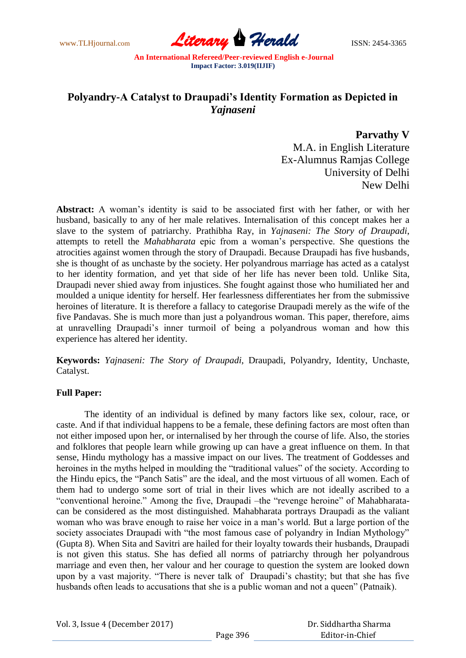www.TLHjournal.com **Literary Herald Herald** ISSN: 2454-3365

## **Polyandry-A Catalyst to Draupadi's Identity Formation as Depicted in**  *Yajnaseni*

**Parvathy V**

M.A. in English Literature Ex-Alumnus Ramjas College University of Delhi New Delhi

**Abstract:** A woman's identity is said to be associated first with her father, or with her husband, basically to any of her male relatives. Internalisation of this concept makes her a slave to the system of patriarchy. Prathibha Ray, in *Yajnaseni: The Story of Draupadi*, attempts to retell the *Mahabharata* epic from a woman's perspective. She questions the atrocities against women through the story of Draupadi. Because Draupadi has five husbands, she is thought of as unchaste by the society. Her polyandrous marriage has acted as a catalyst to her identity formation, and yet that side of her life has never been told. Unlike Sita, Draupadi never shied away from injustices. She fought against those who humiliated her and moulded a unique identity for herself. Her fearlessness differentiates her from the submissive heroines of literature. It is therefore a fallacy to categorise Draupadi merely as the wife of the five Pandavas. She is much more than just a polyandrous woman. This paper, therefore, aims at unravelling Draupadi's inner turmoil of being a polyandrous woman and how this experience has altered her identity.

**Keywords:** *Yajnaseni: The Story of Draupadi*, Draupadi, Polyandry, Identity, Unchaste, Catalyst.

## **Full Paper:**

The identity of an individual is defined by many factors like sex, colour, race, or caste. And if that individual happens to be a female, these defining factors are most often than not either imposed upon her, or internalised by her through the course of life. Also, the stories and folklores that people learn while growing up can have a great influence on them. In that sense, Hindu mythology has a massive impact on our lives. The treatment of Goddesses and heroines in the myths helped in moulding the "traditional values" of the society. According to the Hindu epics, the "Panch Satis" are the ideal, and the most virtuous of all women. Each of them had to undergo some sort of trial in their lives which are not ideally ascribed to a "conventional heroine." Among the five, Draupadi –the "revenge heroine" of Mahabharatacan be considered as the most distinguished. Mahabharata portrays Draupadi as the valiant woman who was brave enough to raise her voice in a man's world. But a large portion of the society associates Draupadi with "the most famous case of polyandry in Indian Mythology" (Gupta 8). When Sita and Savitri are hailed for their loyalty towards their husbands, Draupadi is not given this status. She has defied all norms of patriarchy through her polyandrous marriage and even then, her valour and her courage to question the system are looked down upon by a vast majority. "There is never talk of Draupadi's chastity; but that she has five husbands often leads to accusations that she is a public woman and not a queen" (Patnaik).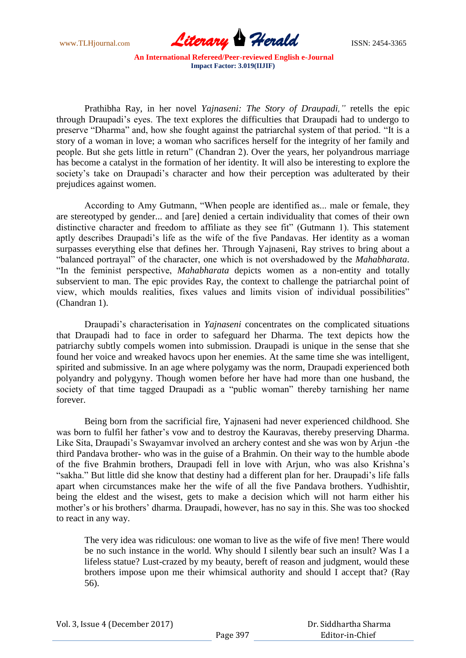

Prathibha Ray, in her novel *Yajnaseni: The Story of Draupadi,"* retells the epic through Draupadi's eyes. The text explores the difficulties that Draupadi had to undergo to preserve "Dharma" and, how she fought against the patriarchal system of that period. "It is a story of a woman in love; a woman who sacrifices herself for the integrity of her family and people. But she gets little in return" (Chandran 2). Over the years, her polyandrous marriage has become a catalyst in the formation of her identity. It will also be interesting to explore the society's take on Draupadi's character and how their perception was adulterated by their prejudices against women.

According to Amy Gutmann, "When people are identified as... male or female, they are stereotyped by gender... and [are] denied a certain individuality that comes of their own distinctive character and freedom to affiliate as they see fit" (Gutmann 1). This statement aptly describes Draupadi's life as the wife of the five Pandavas. Her identity as a woman surpasses everything else that defines her. Through Yajnaseni, Ray strives to bring about a "balanced portrayal" of the character, one which is not overshadowed by the *Mahabharata*. "In the feminist perspective, *Mahabharata* depicts women as a non-entity and totally subservient to man. The epic provides Ray, the context to challenge the patriarchal point of view, which moulds realities, fixes values and limits vision of individual possibilities" (Chandran 1).

Draupadi's characterisation in *Yajnaseni* concentrates on the complicated situations that Draupadi had to face in order to safeguard her Dharma. The text depicts how the patriarchy subtly compels women into submission. Draupadi is unique in the sense that she found her voice and wreaked havocs upon her enemies. At the same time she was intelligent, spirited and submissive. In an age where polygamy was the norm, Draupadi experienced both polyandry and polygyny. Though women before her have had more than one husband, the society of that time tagged Draupadi as a "public woman" thereby tarnishing her name forever.

Being born from the sacrificial fire, Yajnaseni had never experienced childhood. She was born to fulfil her father's vow and to destroy the Kauravas, thereby preserving Dharma. Like Sita, Draupadi's Swayamvar involved an archery contest and she was won by Arjun -the third Pandava brother- who was in the guise of a Brahmin. On their way to the humble abode of the five Brahmin brothers, Draupadi fell in love with Arjun, who was also Krishna's "sakha." But little did she know that destiny had a different plan for her. Draupadi's life falls apart when circumstances make her the wife of all the five Pandava brothers. Yudhishtir, being the eldest and the wisest, gets to make a decision which will not harm either his mother's or his brothers' dharma. Draupadi, however, has no say in this. She was too shocked to react in any way.

The very idea was ridiculous: one woman to live as the wife of five men! There would be no such instance in the world. Why should I silently bear such an insult? Was I a lifeless statue? Lust-crazed by my beauty, bereft of reason and judgment, would these brothers impose upon me their whimsical authority and should I accept that? (Ray 56).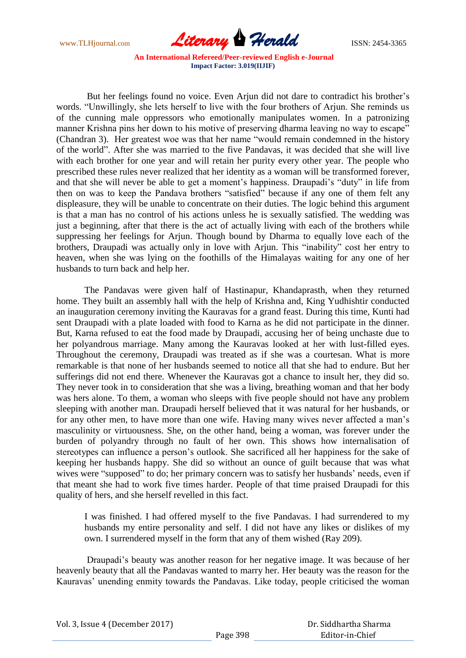www.TLHjournal.com **Literary Herald Herald** ISSN: 2454-3365

But her feelings found no voice. Even Arjun did not dare to contradict his brother's words. "Unwillingly, she lets herself to live with the four brothers of Arjun. She reminds us of the cunning male oppressors who emotionally manipulates women. In a patronizing manner Krishna pins her down to his motive of preserving dharma leaving no way to escape" (Chandran 3). Her greatest woe was that her name "would remain condemned in the history of the world". After she was married to the five Pandavas, it was decided that she will live with each brother for one year and will retain her purity every other year. The people who prescribed these rules never realized that her identity as a woman will be transformed forever, and that she will never be able to get a moment's happiness. Draupadi's "duty" in life from then on was to keep the Pandava brothers "satisfied" because if any one of them felt any displeasure, they will be unable to concentrate on their duties. The logic behind this argument is that a man has no control of his actions unless he is sexually satisfied. The wedding was just a beginning, after that there is the act of actually living with each of the brothers while suppressing her feelings for Arjun. Though bound by Dharma to equally love each of the brothers, Draupadi was actually only in love with Arjun. This "inability" cost her entry to heaven, when she was lying on the foothills of the Himalayas waiting for any one of her husbands to turn back and help her.

The Pandavas were given half of Hastinapur, Khandaprasth, when they returned home. They built an assembly hall with the help of Krishna and, King Yudhishtir conducted an inauguration ceremony inviting the Kauravas for a grand feast. During this time, Kunti had sent Draupadi with a plate loaded with food to Karna as he did not participate in the dinner. But, Karna refused to eat the food made by Draupadi, accusing her of being unchaste due to her polyandrous marriage. Many among the Kauravas looked at her with lust-filled eyes. Throughout the ceremony, Draupadi was treated as if she was a courtesan. What is more remarkable is that none of her husbands seemed to notice all that she had to endure. But her sufferings did not end there. Whenever the Kauravas got a chance to insult her, they did so. They never took in to consideration that she was a living, breathing woman and that her body was hers alone. To them, a woman who sleeps with five people should not have any problem sleeping with another man. Draupadi herself believed that it was natural for her husbands, or for any other men, to have more than one wife. Having many wives never affected a man's masculinity or virtuousness. She, on the other hand, being a woman, was forever under the burden of polyandry through no fault of her own. This shows how internalisation of stereotypes can influence a person's outlook. She sacrificed all her happiness for the sake of keeping her husbands happy. She did so without an ounce of guilt because that was what wives were "supposed" to do; her primary concern was to satisfy her husbands' needs, even if that meant she had to work five times harder. People of that time praised Draupadi for this quality of hers, and she herself revelled in this fact.

I was finished. I had offered myself to the five Pandavas. I had surrendered to my husbands my entire personality and self. I did not have any likes or dislikes of my own. I surrendered myself in the form that any of them wished (Ray 209).

Draupadi's beauty was another reason for her negative image. It was because of her heavenly beauty that all the Pandavas wanted to marry her. Her beauty was the reason for the Kauravas' unending enmity towards the Pandavas. Like today, people criticised the woman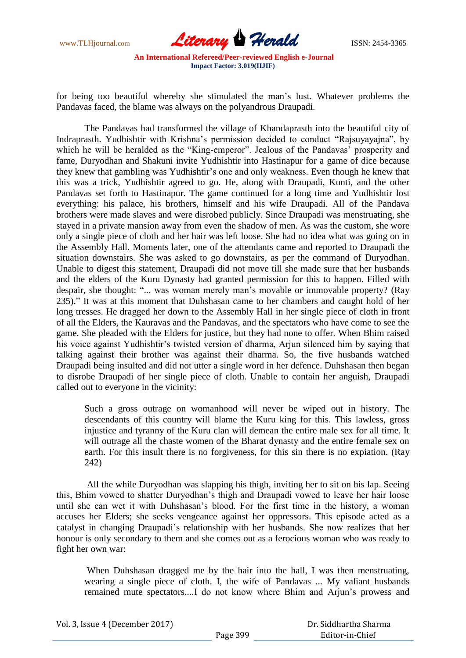

for being too beautiful whereby she stimulated the man's lust. Whatever problems the Pandavas faced, the blame was always on the polyandrous Draupadi.

The Pandavas had transformed the village of Khandaprasth into the beautiful city of Indraprasth. Yudhishtir with Krishna's permission decided to conduct "Rajsuyayajna", by which he will be heralded as the "King-emperor". Jealous of the Pandavas' prosperity and fame, Duryodhan and Shakuni invite Yudhishtir into Hastinapur for a game of dice because they knew that gambling was Yudhishtir's one and only weakness. Even though he knew that this was a trick, Yudhishtir agreed to go. He, along with Draupadi, Kunti, and the other Pandavas set forth to Hastinapur. The game continued for a long time and Yudhishtir lost everything: his palace, his brothers, himself and his wife Draupadi. All of the Pandava brothers were made slaves and were disrobed publicly. Since Draupadi was menstruating, she stayed in a private mansion away from even the shadow of men. As was the custom, she wore only a single piece of cloth and her hair was left loose. She had no idea what was going on in the Assembly Hall. Moments later, one of the attendants came and reported to Draupadi the situation downstairs. She was asked to go downstairs, as per the command of Duryodhan. Unable to digest this statement, Draupadi did not move till she made sure that her husbands and the elders of the Kuru Dynasty had granted permission for this to happen. Filled with despair, she thought: "... was woman merely man's movable or immovable property? (Ray 235)." It was at this moment that Duhshasan came to her chambers and caught hold of her long tresses. He dragged her down to the Assembly Hall in her single piece of cloth in front of all the Elders, the Kauravas and the Pandavas, and the spectators who have come to see the game. She pleaded with the Elders for justice, but they had none to offer. When Bhim raised his voice against Yudhishtir's twisted version of dharma, Arjun silenced him by saying that talking against their brother was against their dharma. So, the five husbands watched Draupadi being insulted and did not utter a single word in her defence. Duhshasan then began to disrobe Draupadi of her single piece of cloth. Unable to contain her anguish, Draupadi called out to everyone in the vicinity:

Such a gross outrage on womanhood will never be wiped out in history. The descendants of this country will blame the Kuru king for this. This lawless, gross injustice and tyranny of the Kuru clan will demean the entire male sex for all time. It will outrage all the chaste women of the Bharat dynasty and the entire female sex on earth. For this insult there is no forgiveness, for this sin there is no expiation. (Ray 242)

All the while Duryodhan was slapping his thigh, inviting her to sit on his lap. Seeing this, Bhim vowed to shatter Duryodhan's thigh and Draupadi vowed to leave her hair loose until she can wet it with Duhshasan's blood. For the first time in the history, a woman accuses her Elders; she seeks vengeance against her oppressors. This episode acted as a catalyst in changing Draupadi's relationship with her husbands. She now realizes that her honour is only secondary to them and she comes out as a ferocious woman who was ready to fight her own war:

When Duhshasan dragged me by the hair into the hall, I was then menstruating, wearing a single piece of cloth. I, the wife of Pandavas ... My valiant husbands remained mute spectators....I do not know where Bhim and Arjun's prowess and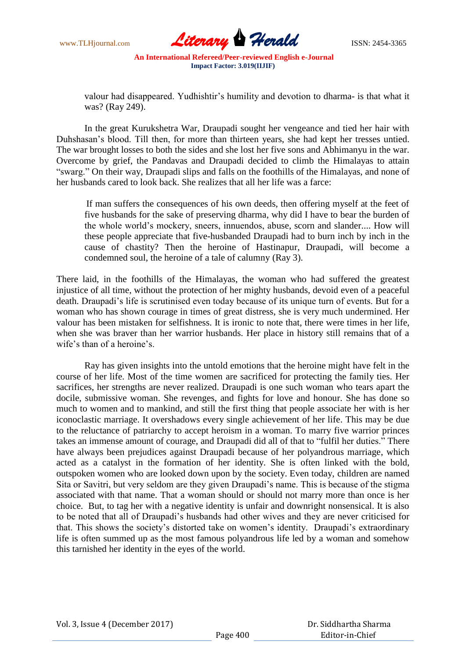

valour had disappeared. Yudhishtir's humility and devotion to dharma- is that what it was? (Ray 249).

In the great Kurukshetra War, Draupadi sought her vengeance and tied her hair with Duhshasan's blood. Till then, for more than thirteen years, she had kept her tresses untied. The war brought losses to both the sides and she lost her five sons and Abhimanyu in the war. Overcome by grief, the Pandavas and Draupadi decided to climb the Himalayas to attain "swarg." On their way, Draupadi slips and falls on the foothills of the Himalayas, and none of her husbands cared to look back. She realizes that all her life was a farce:

If man suffers the consequences of his own deeds, then offering myself at the feet of five husbands for the sake of preserving dharma, why did I have to bear the burden of the whole world's mockery, sneers, innuendos, abuse, scorn and slander.... How will these people appreciate that five-husbanded Draupadi had to burn inch by inch in the cause of chastity? Then the heroine of Hastinapur, Draupadi, will become a condemned soul, the heroine of a tale of calumny (Ray 3).

There laid, in the foothills of the Himalayas, the woman who had suffered the greatest injustice of all time, without the protection of her mighty husbands, devoid even of a peaceful death. Draupadi's life is scrutinised even today because of its unique turn of events. But for a woman who has shown courage in times of great distress, she is very much undermined. Her valour has been mistaken for selfishness. It is ironic to note that, there were times in her life, when she was braver than her warrior husbands. Her place in history still remains that of a wife's than of a heroine's.

Ray has given insights into the untold emotions that the heroine might have felt in the course of her life. Most of the time women are sacrificed for protecting the family ties. Her sacrifices, her strengths are never realized. Draupadi is one such woman who tears apart the docile, submissive woman. She revenges, and fights for love and honour. She has done so much to women and to mankind, and still the first thing that people associate her with is her iconoclastic marriage. It overshadows every single achievement of her life. This may be due to the reluctance of patriarchy to accept heroism in a woman. To marry five warrior princes takes an immense amount of courage, and Draupadi did all of that to "fulfil her duties." There have always been prejudices against Draupadi because of her polyandrous marriage, which acted as a catalyst in the formation of her identity. She is often linked with the bold, outspoken women who are looked down upon by the society. Even today, children are named Sita or Savitri, but very seldom are they given Draupadi's name. This is because of the stigma associated with that name. That a woman should or should not marry more than once is her choice. But, to tag her with a negative identity is unfair and downright nonsensical. It is also to be noted that all of Draupadi's husbands had other wives and they are never criticised for that. This shows the society's distorted take on women's identity. Draupadi's extraordinary life is often summed up as the most famous polyandrous life led by a woman and somehow this tarnished her identity in the eyes of the world.